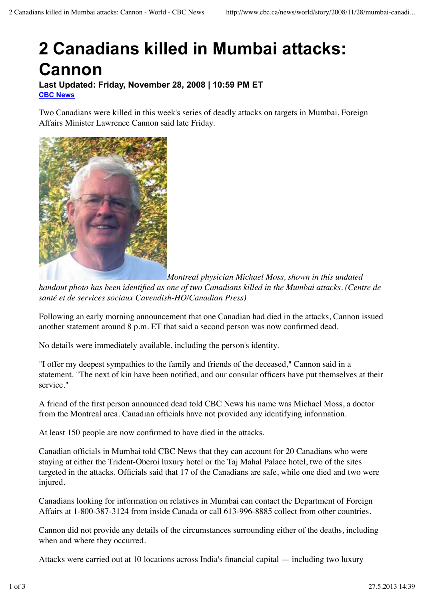## **2 Canadians killed in Mumbai attacks: Cannon**

**Last Updated: Friday, November 28, 2008 | 10:59 PM ET CBC News**

Two Canadians were killed in this week's series of deadly attacks on targets in Mumbai, Foreign Affairs Minister Lawrence Cannon said late Friday.



*Montreal physician Michael Moss, shown in this undated*

*handout photo has been identified as one of two Canadians killed in the Mumbai attacks. (Centre de santé et de services sociaux Cavendish-HO/Canadian Press)*

Following an early morning announcement that one Canadian had died in the attacks, Cannon issued another statement around 8 p.m. ET that said a second person was now confirmed dead.

No details were immediately available, including the person's identity.

"I offer my deepest sympathies to the family and friends of the deceased," Cannon said in a statement. "The next of kin have been notified, and our consular officers have put themselves at their service."

A friend of the first person announced dead told CBC News his name was Michael Moss, a doctor from the Montreal area. Canadian officials have not provided any identifying information.

At least 150 people are now confirmed to have died in the attacks.

Canadian officials in Mumbai told CBC News that they can account for 20 Canadians who were staying at either the Trident-Oberoi luxury hotel or the Taj Mahal Palace hotel, two of the sites targeted in the attacks. Officials said that 17 of the Canadians are safe, while one died and two were injured.

Canadians looking for information on relatives in Mumbai can contact the Department of Foreign Affairs at 1-800-387-3124 from inside Canada or call 613-996-8885 collect from other countries.

Cannon did not provide any details of the circumstances surrounding either of the deaths, including when and where they occurred.

Attacks were carried out at 10 locations across India's financial capital — including two luxury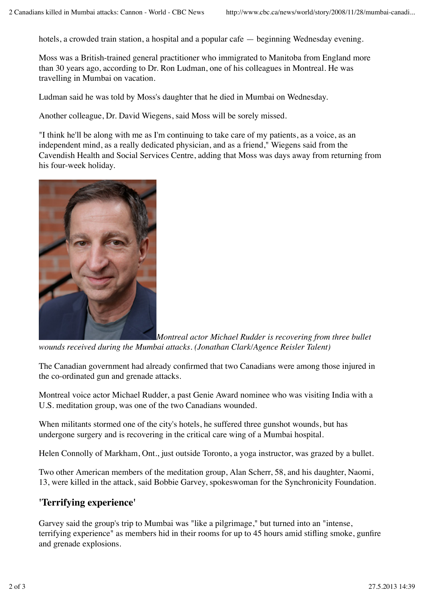hotels, a crowded train station, a hospital and a popular cafe — beginning Wednesday evening.

Moss was a British-trained general practitioner who immigrated to Manitoba from England more than 30 years ago, according to Dr. Ron Ludman, one of his colleagues in Montreal. He was travelling in Mumbai on vacation.

Ludman said he was told by Moss's daughter that he died in Mumbai on Wednesday.

Another colleague, Dr. David Wiegens, said Moss will be sorely missed.

"I think he'll be along with me as I'm continuing to take care of my patients, as a voice, as an independent mind, as a really dedicated physician, and as a friend," Wiegens said from the Cavendish Health and Social Services Centre, adding that Moss was days away from returning from his four-week holiday.



*Montreal actor Michael Rudder is recovering from three bullet wounds received during the Mumbai attacks. (Jonathan Clark/Agence Reisler Talent)*

The Canadian government had already confirmed that two Canadians were among those injured in the co-ordinated gun and grenade attacks.

Montreal voice actor Michael Rudder, a past Genie Award nominee who was visiting India with a U.S. meditation group, was one of the two Canadians wounded.

When militants stormed one of the city's hotels, he suffered three gunshot wounds, but has undergone surgery and is recovering in the critical care wing of a Mumbai hospital.

Helen Connolly of Markham, Ont., just outside Toronto, a yoga instructor, was grazed by a bullet.

Two other American members of the meditation group, Alan Scherr, 58, and his daughter, Naomi, 13, were killed in the attack, said Bobbie Garvey, spokeswoman for the Synchronicity Foundation.

## **'Terrifying experience'**

Garvey said the group's trip to Mumbai was "like a pilgrimage," but turned into an "intense, terrifying experience" as members hid in their rooms for up to 45 hours amid stifling smoke, gunfire and grenade explosions.